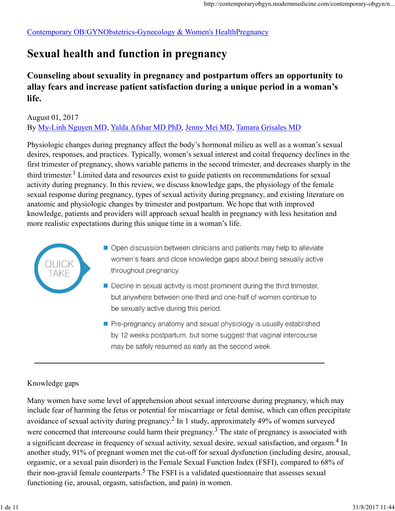Contemporary OB/GYNObstetrics-Gynecology & Women's HealthPregnancy

## Sexual health and function in pregnancy

### Counseling about sexuality in pregnancy and postpartum offers an opportunity to allay fears and increase patient satisfaction during a unique period in a woman's life.

#### August 01, 2017 By My-Linh Nguyen MD, Yalda Afshar MD PhD, Jenny Mei MD, Tamara Grisales MD

Physiologic changes during pregnancy affect the body's hormonal milieu as well as a woman's sexual desires, responses, and practices. Typically, women's sexual interest and coital frequency declines in the first trimester of pregnancy, shows variable patterns in the second trimester, and decreases sharply in the third trimester.<sup>1</sup> Limited data and resources exist to guide patients on recommendations for sexual activity during pregnancy. In this review, we discuss knowledge gaps, the physiology of the female sexual response during pregnancy, types of sexual activity during pregnancy, and existing literature on anatomic and physiologic changes by trimester and postpartum. We hope that with improved knowledge, patients and providers will approach sexual health in pregnancy with less hesitation and more realistic expectations during this unique time in a woman's life.



- Open discussion between clinicians and patients may help to alleviate women's fears and close knowledge gaps about being sexually active throughout pregnancy.
- Decline in sexual activity is most prominent during the third trimester, but anywhere between one-third and one-half of women continue to be sexually active during this period.
- Pre-pregnancy anatomy and sexual physiology is usually established by 12 weeks postpartum, but some suggest that vaginal intercourse

#### Knowledge gaps

Many women have some level of apprehension about sexual intercourse during pregnancy, which may include fear of harming the fetus or potential for miscarriage or fetal demise, which can often precipitate avoidance of sexual activity during pregnancy.<sup>2</sup> In 1 study, approximately 49% of women surveyed were concerned that intercourse could harm their pregnancy.<sup>3</sup> The state of pregnancy is associated with a significant decrease in frequency of sexual activity, sexual desire, sexual satisfaction, and orgasm.<sup>4</sup> In In another study, 91% of pregnant women met the cut-off for sexual dysfunction (including desire, arousal, orgasmic, or a sexual pain disorder) in the Female Sexual Function Index (FSFI), compared to 68% of their non-gravid female counterparts.<sup>5</sup> The FSFI is a validated questionnaire that assesses sexual functioning (ie, arousal, orgasm, satisfaction, and pain) in women. may be safely resumed as early as the second week.<br> **Knowledge gaps**<br>
Many women have some level of apprehension about sexual intercourse during pregnancy, which may<br>
include fear of harming the fetus or potential for mis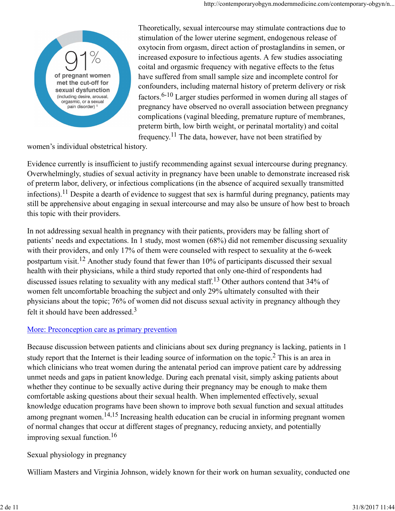

Theoretically, sexual intercourse may stimulate contractions due to stimulation of the lower uterine segment, endogenous release of oxytocin from orgasm, direct action of prostaglandins in semen, or increased exposure to infectious agents. A few studies associating coital and orgasmic frequency with negative effects to the fetus have suffered from small sample size and incomplete control for confounders, including maternal history of preterm delivery or risk factors.6-10 Larger studies performed in women during all stages of pregnancy have observed no overall association between pregnancy complications (vaginal bleeding, premature rupture of membranes, preterm birth, low birth weight, or perinatal mortality) and coital frequency.<sup>11</sup> The data, however, have not been stratified by

women's individual obstetrical history.

Evidence currently is insufficient to justify recommending against sexual intercourse during pregnancy. Overwhelmingly, studies of sexual activity in pregnancy have been unable to demonstrate increased risk of preterm labor, delivery, or infectious complications (in the absence of acquired sexually transmitted infections).<sup>11</sup> Despite a dearth of evidence to suggest that sex is harmful during pregnancy, patients may still be apprehensive about engaging in sexual intercourse and may also be unsure of how best to broach this topic with their providers.

In not addressing sexual health in pregnancy with their patients, providers may be falling short of patients' needs and expectations. In 1 study, most women (68%) did not remember discussing sexuality with their providers, and only 17% of them were counseled with respect to sexuality at the 6-week postpartum visit.12 Another study found that fewer than 10% of participants discussed their sexual health with their physicians, while a third study reported that only one-third of respondents had discussed issues relating to sexuality with any medical staff.<sup>13</sup> Other authors contend that 34% of women felt uncomfortable broaching the subject and only 29% ultimately consulted with their physicians about the topic; 76% of women did not discuss sexual activity in pregnancy although they felt it should have been addressed. $3$ 

#### More: Preconception care as primary prevention

Because discussion between patients and clinicians about sex during pregnancy is lacking, patients in 1 study report that the Internet is their leading source of information on the topic.<sup>2</sup> This is an area in which clinicians who treat women during the antenatal period can improve patient care by addressing unmet needs and gaps in patient knowledge. During each prenatal visit, simply asking patients about whether they continue to be sexually active during their pregnancy may be enough to make them comfortable asking questions about their sexual health. When implemented effectively, sexual knowledge education programs have been shown to improve both sexual function and sexual attitudes among pregnant women.14,15 Increasing health education can be crucial in informing pregnant women of normal changes that occur at different stages of pregnancy, reducing anxiety, and potentially improving sexual function.16 Because discussion between patients and elinicians about sex during pregnancy is lacking, patients in 1<br>study report that the Internet is their leading source of information on the topic.<sup>2</sup> This is an area in<br>which clini

#### Sexual physiology in pregnancy

William Masters and Virginia Johnson, widely known for their work on human sexuality, conducted one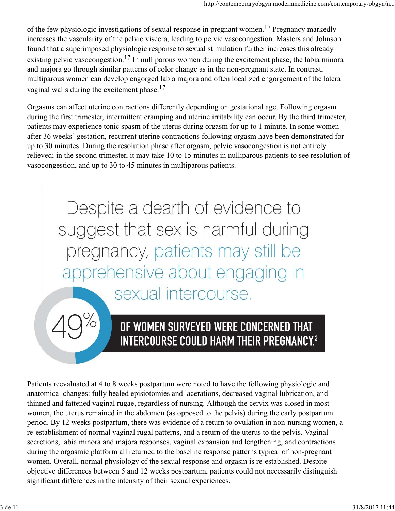of the few physiologic investigations of sexual response in pregnant women.<sup>17</sup> Pregnancy markedly increases the vascularity of the pelvic viscera, leading to pelvic vasocongestion. Masters and Johnson found that a superimposed physiologic response to sexual stimulation further increases this already existing pelvic vasocongestion.<sup>17</sup> In nulliparous women during the excitement phase, the labia minora and majora go through similar patterns of color change as in the non-pregnant state. In contrast, multiparous women can develop engorged labia majora and often localized engorgement of the lateral vaginal walls during the excitement phase.<sup>17</sup>

Orgasms can affect uterine contractions differently depending on gestational age. Following orgasm during the first trimester, intermittent cramping and uterine irritability can occur. By the third trimester, patients may experience tonic spasm of the uterus during orgasm for up to 1 minute. In some women after 36 weeks' gestation, recurrent uterine contractions following orgasm have been demonstrated for up to 30 minutes. During the resolution phase after orgasm, pelvic vasocongestion is not entirely relieved; in the second trimester, it may take 10 to 15 minutes in nulliparous patients to see resolution of vasocongestion, and up to 30 to 45 minutes in multiparous patients.



# OF WOMEN SURVEYED WERE CONCERNED THAT

Patients reevaluated at 4 to 8 weeks postpartum were noted to have the following physiologic and anatomical changes: fully healed episiotomies and lacerations, decreased vaginal lubrication, and thinned and fattened vaginal rugae, regardless of nursing. Although the cervix was closed in most women, the uterus remained in the abdomen (as opposed to the pelvis) during the early postpartum period. By 12 weeks postpartum, there was evidence of a return to ovulation in non-nursing women, a re-establishment of normal vaginal rugal patterns, and a return of the uterus to the pelvis. Vaginal secretions, labia minora and majora responses, vaginal expansion and lengthening, and contractions during the orgasmic platform all returned to the baseline response patterns typical of non-pregnant women. Overall, normal physiology of the sexual response and orgasm is re-established. Despite objective differences between 5 and 12 weeks postpartum, patients could not necessarily distinguish significant differences in the intensity of their sexual experiences. **EXECUTE ANTIFIX/PULTE THATAL TREATMENT AND SET ANTIFIX PRESENTATIONS PRESENT AND A THE PRESENT AND ARREST AND INTERFERISHAGE AND A method mand thinned and fathers of value and incertains, decreased variable chemical chang**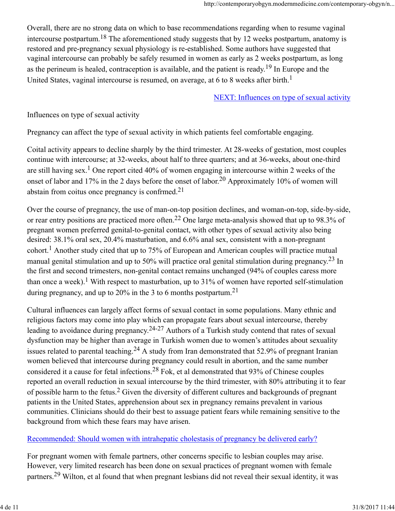Overall, there are no strong data on which to base recommendations regarding when to resume vaginal intercourse postpartum.<sup>18</sup> The aforementioned study suggests that by 12 weeks postpartum, anatomy is restored and pre-pregnancy sexual physiology is re-established. Some authors have suggested that vaginal intercourse can probably be safely resumed in women as early as 2 weeks postpartum, as long as the perineum is healed, contraception is available, and the patient is ready.<sup>19</sup> In Europe and the United States, vaginal intercourse is resumed, on average, at 6 to 8 weeks after birth.<sup>1</sup>

#### NEXT: Influences on type of sexual activity

Influences on type of sexual activity

Pregnancy can affect the type of sexual activity in which patients feel comfortable engaging.

Coital activity appears to decline sharply by the third trimester. At 28-weeks of gestation, most couples continue with intercourse; at 32-weeks, about half to three quarters; and at 36-weeks, about one-third are still having sex.<sup>1</sup> One report cited 40% of women engaging in intercourse within 2 weeks of the onset of labor and 17% in the 2 days before the onset of labor.<sup>20</sup> Approximately 10% of women will abstain from coitus once pregnancy is confrmed.21

Over the course of pregnancy, the use of man-on-top position declines, and woman-on-top, side-by-side, or rear entry positions are practiced more often.22 One large meta-analysis showed that up to 98.3% of pregnant women preferred genital-to-genital contact, with other types of sexual activity also being desired: 38.1% oral sex, 20.4% masturbation, and 6.6% anal sex, consistent with a non-pregnant cohort.<sup>1</sup> Another study cited that up to 75% of European and American couples will practice mutual manual genital stimulation and up to 50% will practice oral genital stimulation during pregnancy.<sup>23</sup> In the first and second trimesters, non-genital contact remains unchanged (94% of couples caress more than once a week).<sup>1</sup> With respect to masturbation, up to 31% of women have reported self-stimulation during pregnancy, and up to 20% in the 3 to 6 months postpartum.<sup>21</sup>

Cultural influences can largely affect forms of sexual contact in some populations. Many ethnic and religious factors may come into play which can propagate fears about sexual intercourse, thereby leading to avoidance during pregnancy.<sup>24-27</sup> Authors of a Turkish study contend that rates of sexual dysfunction may be higher than average in Turkish women due to women's attitudes about sexuality issues related to parental teaching.<sup>24</sup> A study from Iran demonstrated that 52.9% of pregnant Iranian women believed that intercourse during pregnancy could result in abortion, and the same number considered it a cause for fetal infections.28 Fok, et al demonstrated that 93% of Chinese couples reported an overall reduction in sexual intercourse by the third trimester, with 80% attributing it to fear of possible harm to the fetus.<sup>2</sup> Given the diversity of different cultures and backgrounds of pregnant patients in the United States, apprehension about sex in pregnancy remains prevalent in various communities. Clinicians should do their best to assuage patient fears while remaining sensitive to the background from which these fears may have arisen. dystunction may be higher than average in 1 urkish women due to women s attitudes about sexuality<br>issues related to parental teaching.<sup>24</sup> A study from Iran demonstrated that 52.9% of perganat Iranian<br>women believed that

#### Recommended: Should women with intrahepatic cholestasis of pregnancy be delivered early?

For pregnant women with female partners, other concerns specific to lesbian couples may arise. However, very limited research has been done on sexual practices of pregnant women with female partners.29 Wilton, et al found that when pregnant lesbians did not reveal their sexual identity, it was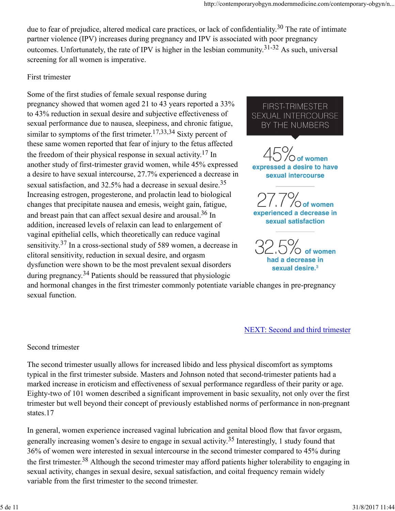due to fear of prejudice, altered medical care practices, or lack of confidentiality.<sup>30</sup> The rate of intimate partner violence (IPV) increases during pregnancy and IPV is associated with poor pregnancy outcomes. Unfortunately, the rate of IPV is higher in the lesbian community.31-32 As such, universal screening for all women is imperative.

#### First trimester

Some of the first studies of female sexual response during pregnancy showed that women aged 21 to 43 years reported a 33% FIRST-TRIMESTER to 43% reduction in sexual desire and subjective effectiveness of SEXUAL INTERCOURSE sexual performance due to nausea, sleepiness, and chronic fatigue, BY THE NUMBERS similar to symptoms of the first trimeter.<sup>17,33,34</sup> Sixty percent of these same women reported that fear of injury to the fetus affected the freedom of their physical response in sexual activity.<sup>17</sup> In another study of first-trimester gravid women, while 45% expressed expressed a desire to have a desire to have sexual intercourse, 27.7% experienced a decrease in sexual satisfaction, and 32.5% had a decrease in sexual desire.<sup>35</sup> Increasing estrogen, progesterone, and prolactin lead to biological changes that precipitate nausea and emesis, weight gain, fatigue, and breast pain that can affect sexual desire and arousal.<sup>36</sup> In **experienced a decrease in**<br>a sexual satisfaction addition, increased levels of relaxin can lead to enlargement of vaginal epithelial cells, which theoretically can reduce vaginal sensitivity.37 In a cross-sectional study of 589 women, a decrease in clitoral sensitivity, reduction in sexual desire, and orgasm had a decrease in dysfunction were shown to be the most prevalent sexual disorders sexual desire.<sup>3</sup> during pregnancy.34 Patients should be reassured that physiologic

 $\bigcirc$  of women

and hormonal changes in the first trimester commonly potentiate variable changes in pre-pregnancy sexual function.

NEXT: Second and third trimester

#### Second trimester

The second trimester usually allows for increased libido and less physical discomfort as symptoms typical in the first trimester subside. Masters and Johnson noted that second-trimester patients had a marked increase in eroticism and effectiveness of sexual performance regardless of their parity or age. Eighty-two of 101 women described a significant improvement in basic sexuality, not only over the first trimester but well beyond their concept of previously established norms of performance in non-pregnant states.17

In general, women experience increased vaginal lubrication and genital blood flow that favor orgasm, generally increasing women's desire to engage in sexual activity.35 Interestingly, 1 study found that 36% of women were interested in sexual intercourse in the second trimester compared to 45% during the first trimester.<sup>38</sup> Although the second trimester may afford patients higher tolerability to engaging in sexual activity, changes in sexual desire, sexual satisfaction, and coital frequency remain widely variable from the first trimester to the second trimester. Second trimester<br>The second trimester usually allows for increased libido and less physical discomfort as symptoms<br>typical in the first trimester subside. Masters and Johnson noted that second-trimester patients had a<br>mark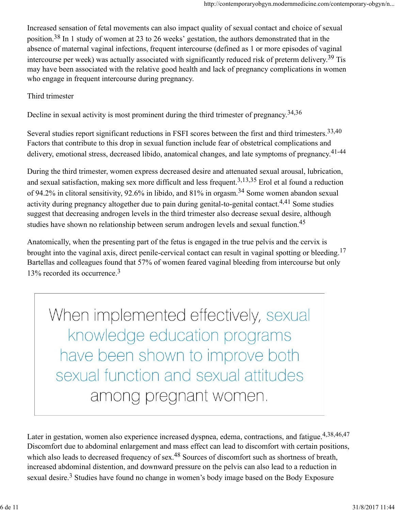Increased sensation of fetal movements can also impact quality of sexual contact and choice of sexual position.38 In 1 study of women at 23 to 26 weeks' gestation, the authors demonstrated that in the absence of maternal vaginal infections, frequent intercourse (defined as 1 or more episodes of vaginal intercourse per week) was actually associated with significantly reduced risk of preterm delivery.<sup>39</sup> Tis may have been associated with the relative good health and lack of pregnancy complications in women who engage in frequent intercourse during pregnancy.

#### Third trimester

Decline in sexual activity is most prominent during the third trimester of pregnancy.34,36

Several studies report significant reductions in FSFI scores between the first and third trimesters.<sup>33,40</sup> Factors that contribute to this drop in sexual function include fear of obstetrical complications and delivery, emotional stress, decreased libido, anatomical changes, and late symptoms of pregnancy.<sup>41-44</sup>

During the third trimester, women express decreased desire and attenuated sexual arousal, lubrication, and sexual satisfaction, making sex more difficult and less frequent.<sup>3,13,35</sup> Erol et al found a reduction of 94.2% in clitoral sensitivity, 92.6% in libido, and 81% in orgasm.34 Some women abandon sexual activity during pregnancy altogether due to pain during genital-to-genital contact.<sup>4,41</sup> Some studies suggest that decreasing androgen levels in the third trimester also decrease sexual desire, although studies have shown no relationship between serum androgen levels and sexual function.<sup>45</sup>

Anatomically, when the presenting part of the fetus is engaged in the true pelvis and the cervix is brought into the vaginal axis, direct penile-cervical contact can result in vaginal spotting or bleeding.<sup>17</sup> Bartellas and colleagues found that 57% of women feared vaginal bleeding from intercourse but only 13% recorded its occurrence.<sup>3</sup>

When implemented effectively, sexual That we have been shown to improve both<br>Sexual function and sexual attitudes<br>among pregnant women,<br>tater in gestation, women also experience increased dyspnea, edema, contractions, and fatigue.<sup>4,38,46,47</sup><br>Discomfort due t

Later in gestation, women also experience increased dyspnea, edema, contractions, and fatigue.4,38,46,47 Discomfort due to abdominal enlargement and mass effect can lead to discomfort with certain positions, which also leads to decreased frequency of sex.<sup>48</sup> Sources of discomfort such as shortness of breath, increased abdominal distention, and downward pressure on the pelvis can also lead to a reduction in sexual desire.<sup>3</sup> Studies have found no change in women's body image based on the Body Exposure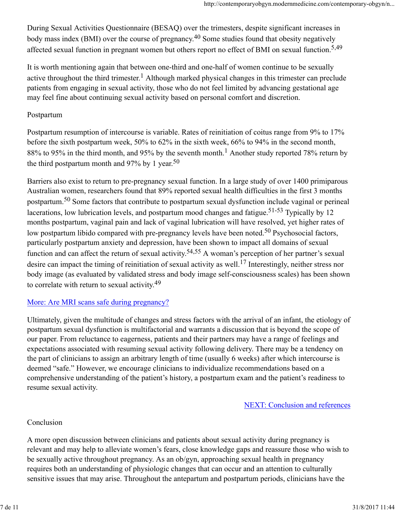During Sexual Activities Questionnaire (BESAQ) over the trimesters, despite significant increases in body mass index (BMI) over the course of pregnancy.<sup>40</sup> Some studies found that obesity negatively affected sexual function in pregnant women but others report no effect of BMI on sexual function.<sup>5,49</sup>

It is worth mentioning again that between one-third and one-half of women continue to be sexually active throughout the third trimester.<sup>1</sup> Although marked physical changes in this trimester can preclude patients from engaging in sexual activity, those who do not feel limited by advancing gestational age may feel fine about continuing sexual activity based on personal comfort and discretion.

#### Postpartum

Postpartum resumption of intercourse is variable. Rates of reinitiation of coitus range from 9% to 17% before the sixth postpartum week, 50% to 62% in the sixth week, 66% to 94% in the second month, 88% to 95% in the third month, and 95% by the seventh month.<sup>1</sup> Another study reported 78% return by the third postpartum month and  $97\%$  by 1 year.<sup>50</sup>

Barriers also exist to return to pre-pregnancy sexual function. In a large study of over 1400 primiparous Australian women, researchers found that 89% reported sexual health difficulties in the first 3 months postpartum.50 Some factors that contribute to postpartum sexual dysfunction include vaginal or perineal lacerations, low lubrication levels, and postpartum mood changes and fatigue.<sup>51-53</sup> Typically by 12 months postpartum, vaginal pain and lack of vaginal lubrication will have resolved, yet higher rates of low postpartum libido compared with pre-pregnancy levels have been noted.<sup>50</sup> Psychosocial factors, particularly postpartum anxiety and depression, have been shown to impact all domains of sexual function and can affect the return of sexual activity.<sup>54,55</sup> A woman's perception of her partner's sexual desire can impact the timing of reinitiation of sexual activity as well.17 Interestingly, neither stress nor body image (as evaluated by validated stress and body image self-consciousness scales) has been shown to correlate with return to sexual activity.<sup>49</sup>

#### More: Are MRI scans safe during pregnancy?

Ultimately, given the multitude of changes and stress factors with the arrival of an infant, the etiology of postpartum sexual dysfunction is multifactorial and warrants a discussion that is beyond the scope of our paper. From reluctance to eagerness, patients and their partners may have a range of feelings and expectations associated with resuming sexual activity following delivery. There may be a tendency on the part of clinicians to assign an arbitrary length of time (usually 6 weeks) after which intercourse is deemed "safe." However, we encourage clinicians to individualize recommendations based on a comprehensive understanding of the patient's history, a postpartum exam and the patient's readiness to resume sexual activity. our paper. From renduction et to agentess, pattents and their pattents may nave a range of recenngs and<br>expectations associated with resuming sexual activity following delivery. There may be a tendency on<br>the part of clini

NEXT: Conclusion and references

#### Conclusion

A more open discussion between clinicians and patients about sexual activity during pregnancy is relevant and may help to alleviate women's fears, close knowledge gaps and reassure those who wish to be sexually active throughout pregnancy. As an ob/gyn, approaching sexual health in pregnancy requires both an understanding of physiologic changes that can occur and an attention to culturally sensitive issues that may arise. Throughout the antepartum and postpartum periods, clinicians have the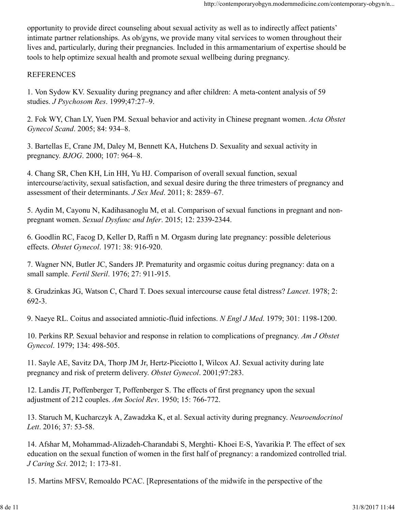opportunity to provide direct counseling about sexual activity as well as to indirectly affect patients' intimate partner relationships. As ob/gyns, we provide many vital services to women throughout their lives and, particularly, during their pregnancies. Included in this armamentarium of expertise should be tools to help optimize sexual health and promote sexual wellbeing during pregnancy.

#### REFERENCES

1. Von Sydow KV. Sexuality during pregnancy and after children: A meta-content analysis of 59 studies. J Psychosom Res. 1999;47:27–9.

2. Fok WY, Chan LY, Yuen PM. Sexual behavior and activity in Chinese pregnant women. Acta Obstet Gynecol Scand. 2005; 84: 934–8.

3. Bartellas E, Crane JM, Daley M, Bennett KA, Hutchens D. Sexuality and sexual activity in pregnancy. BJOG. 2000; 107: 964–8.

4. Chang SR, Chen KH, Lin HH, Yu HJ. Comparison of overall sexual function, sexual intercourse/activity, sexual satisfaction, and sexual desire during the three trimesters of pregnancy and assessment of their determinants. J Sex Med. 2011; 8: 2859–67.

5. Aydin M, Cayonu N, Kadihasanoglu M, et al. Comparison of sexual functions in pregnant and nonpregnant women. Sexual Dysfunc and Infer. 2015; 12: 2339-2344.

6. Goodlin RC, Facog D, Keller D, Raffi n M. Orgasm during late pregnancy: possible deleterious effects. Obstet Gynecol. 1971: 38: 916-920.

7. Wagner NN, Butler JC, Sanders JP. Prematurity and orgasmic coitus during pregnancy: data on a small sample. Fertil Steril. 1976; 27: 911-915.

8. Grudzinkas JG, Watson C, Chard T. Does sexual intercourse cause fetal distress? Lancet. 1978; 2: 692-3.

9. Naeye RL. Coitus and associated amniotic-fluid infections. N Engl J Med. 1979; 301: 1198-1200.

10. Perkins RP. Sexual behavior and response in relation to complications of pregnancy. Am J Obstet Gynecol. 1979; 134: 498-505.

11. Sayle AE, Savitz DA, Thorp JM Jr, Hertz-Picciotto I, Wilcox AJ. Sexual activity during late pregnancy and risk of preterm delivery. Obstet Gynecol. 2001;97:283.

12. Landis JT, Poffenberger T, Poffenberger S. The effects of first pregnancy upon the sexual adjustment of 212 couples. Am Sociol Rev. 1950; 15: 766-772.

13. Staruch M, Kucharczyk A, Zawadzka K, et al. Sexual activity during pregnancy. Neuroendocrinol Lett. 2016; 37: 53-58.

14. Afshar M, Mohammad-Alizadeh-Charandabi S, Merghti- Khoei E-S, Yavarikia P. The effect of sex education on the sexual function of women in the first half of pregnancy: a randomized controlled trial. J Caring Sci. 2012; 1: 173-81. Gynecol. 1979; 134: 498-505.<br>
11. Sayle AE, Savitz DA, Thorp JM Jr, Hertz-Picciotto I, Wilcox AJ. Sexual activity during late<br>
pregnancy and risk of preterm delivery. *Obstet Gynecol.* 2001;97:283.<br>
12. Landis JT, Poffenbe

15. Martins MFSV, Remoaldo PCAC. [Representations of the midwife in the perspective of the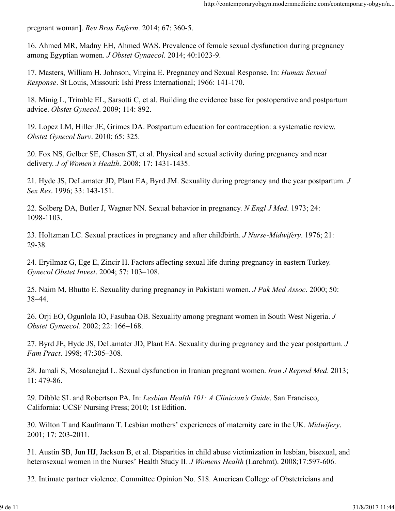pregnant woman]. Rev Bras Enferm. 2014; 67: 360-5.

16. Ahmed MR, Madny EH, Ahmed WAS. Prevalence of female sexual dysfunction during pregnancy among Egyptian women. J Obstet Gynaecol. 2014; 40:1023-9.

17. Masters, William H. Johnson, Virgina E. Pregnancy and Sexual Response. In: Human Sexual Response. St Louis, Missouri: Ishi Press International; 1966: 141-170.

18. Minig L, Trimble EL, Sarsotti C, et al. Building the evidence base for postoperative and postpartum advice. Obstet Gynecol. 2009; 114: 892.

19. Lopez LM, Hiller JE, Grimes DA. Postpartum education for contraception: a systematic review. Obstet Gynecol Surv. 2010; 65: 325.

20. Fox NS, Gelber SE, Chasen ST, et al. Physical and sexual activity during pregnancy and near delivery. J of Women's Health. 2008; 17: 1431-1435.

21. Hyde JS, DeLamater JD, Plant EA, Byrd JM. Sexuality during pregnancy and the year postpartum. J Sex Res. 1996; 33: 143-151.

22. Solberg DA, Butler J, Wagner NN. Sexual behavior in pregnancy. N Engl J Med. 1973; 24: 1098-1103.

23. Holtzman LC. Sexual practices in pregnancy and after childbirth. J Nurse-Midwifery. 1976; 21: 29-38.

24. Eryilmaz G, Ege E, Zincir H. Factors affecting sexual life during pregnancy in eastern Turkey. Gynecol Obstet Invest. 2004; 57: 103–108.

25. Naim M, Bhutto E. Sexuality during pregnancy in Pakistani women. J Pak Med Assoc. 2000; 50: 38–44.

26. Orji EO, Ogunlola IO, Fasubaa OB. Sexuality among pregnant women in South West Nigeria. J Obstet Gynaecol. 2002; 22: 166–168.

27. Byrd JE, Hyde JS, DeLamater JD, Plant EA. Sexuality during pregnancy and the year postpartum. J Fam Pract. 1998; 47:305–308.

28. Jamali S, Mosalanejad L. Sexual dysfunction in Iranian pregnant women. Iran J Reprod Med. 2013; 11: 479-86. 27. Byrd JE, Hyde JS, DeLamater JD, Plant EA. Sexuality during pregnancy and the year postpartum. *J* Fam Pract. 1998; 47:305-308.<br>
28. Jamali S, Mosalanejad L. Sexual dysfunction in Iranian pregnant women. *Iran J Reprod* 

29. Dibble SL and Robertson PA. In: Lesbian Health 101: A Clinician's Guide. San Francisco, California: UCSF Nursing Press; 2010; 1st Edition.

30. Wilton T and Kaufmann T. Lesbian mothers' experiences of maternity care in the UK. Midwifery. 2001; 17: 203-2011.

31. Austin SB, Jun HJ, Jackson B, et al. Disparities in child abuse victimization in lesbian, bisexual, and heterosexual women in the Nurses' Health Study II. J Womens Health (Larchmt). 2008;17:597-606.

32. Intimate partner violence. Committee Opinion No. 518. American College of Obstetricians and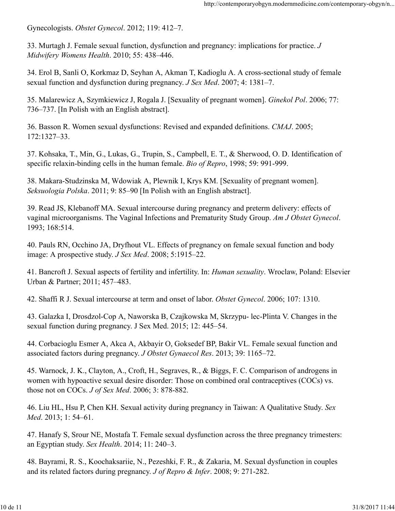Gynecologists. Obstet Gynecol. 2012; 119: 412–7.

33. Murtagh J. Female sexual function, dysfunction and pregnancy: implications for practice. J Midwifery Womens Health. 2010; 55: 438–446.

34. Erol B, Sanli O, Korkmaz D, Seyhan A, Akman T, Kadioglu A. A cross-sectional study of female sexual function and dysfunction during pregnancy. J Sex Med. 2007; 4: 1381–7.

35. Malarewicz A, Szymkiewicz J, Rogala J. [Sexuality of pregnant women]. Ginekol Pol. 2006; 77: 736–737. [In Polish with an English abstract].

36. Basson R. Women sexual dysfunctions: Revised and expanded definitions. CMAJ. 2005; 172:1327–33.

37. Kohsaka, T., Min, G., Lukas, G., Trupin, S., Campbell, E. T., & Sherwood, O. D. Identification of specific relaxin-binding cells in the human female. Bio of Repro, 1998; 59: 991-999.

38. Makara-Studzinska M, Wdowiak A, Plewnik I, Krys KM. [Sexuality of pregnant women]. Seksuologia Polska. 2011; 9: 85–90 [In Polish with an English abstract].

39. Read JS, Klebanoff MA. Sexual intercourse during pregnancy and preterm delivery: effects of vaginal microorganisms. The Vaginal Infections and Prematurity Study Group. Am J Obstet Gynecol. 1993; 168:514.

40. Pauls RN, Occhino JA, Dryfhout VL. Effects of pregnancy on female sexual function and body image: A prospective study. J Sex Med. 2008; 5:1915–22.

41. Bancroft J. Sexual aspects of fertility and infertility. In: Human sexuality. Wroclaw, Poland: Elsevier Urban & Partner; 2011; 457–483.

42. Shaffi R J. Sexual intercourse at term and onset of labor. Obstet Gynecol. 2006; 107: 1310.

43. Galazka I, Drosdzol-Cop A, Naworska B, Czajkowska M, Skrzypu- lec-Plinta V. Changes in the sexual function during pregnancy. J Sex Med. 2015; 12: 445–54.

44. Corbacioglu Esmer A, Akca A, Akbayir O, Goksedef BP, Bakir VL. Female sexual function and associated factors during pregnancy. J Obstet Gynaecol Res. 2013; 39: 1165–72.

45. Warnock, J. K., Clayton, A., Croft, H., Segraves, R., & Biggs, F. C. Comparison of androgens in women with hypoactive sexual desire disorder: Those on combined oral contraceptives (COCs) vs. those not on COCs. J of Sex Med. 2006; 3: 878-882. 44. Corbacioglu Esmer A, Akca A, Akbayir O, Goksedef BP, Bakir VL. Female sexual function and<br>associated factors during pregnancy. *J Obstet Gynaecol Res.* 2013; 39: 1165–72.<br>45. Warnock, J. K., Clayton, A., Croft, H., Se

46. Liu HL, Hsu P, Chen KH. Sexual activity during pregnancy in Taiwan: A Qualitative Study. Sex Med. 2013; 1: 54–61.

47. Hanafy S, Srour NE, Mostafa T. Female sexual dysfunction across the three pregnancy trimesters: an Egyptian study. Sex Health. 2014; 11: 240–3.

48. Bayrami, R. S., Koochaksariie, N., Pezeshki, F. R., & Zakaria, M. Sexual dysfunction in couples and its related factors during pregnancy. J of Repro & Infer. 2008; 9: 271-282.